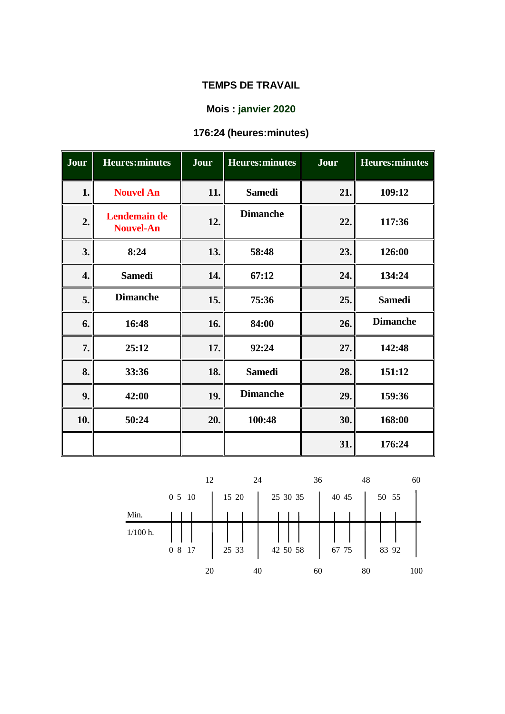# **Mois : janvier 2020**

# **176:24 (heures:minutes)**

| Jour | <b>Heures:minutes</b>            | Jour | <b>Heures:minutes</b> | Jour | <b>Heures:minutes</b> |
|------|----------------------------------|------|-----------------------|------|-----------------------|
| 1.   | <b>Nouvel An</b>                 | 11.  | <b>Samedi</b>         | 21.  | 109:12                |
| 2.   | Lendemain de<br><b>Nouvel-An</b> | 12.  | <b>Dimanche</b>       | 22.  | 117:36                |
| 3.   | 8:24                             | 13.  | 58:48                 | 23.  | 126:00                |
| 4.   | <b>Samedi</b>                    | 14.  | 67:12                 | 24.  | 134:24                |
| 5.   | <b>Dimanche</b>                  | 15.  | 75:36                 | 25.  | <b>Samedi</b>         |
| 6.   | 16:48                            | 16.  | 84:00                 | 26.  | <b>Dimanche</b>       |
| 7.   | 25:12                            | 17.  | 92:24                 | 27.  | 142:48                |
| 8.   | 33:36                            | 18.  | <b>Samedi</b>         | 28.  | 151:12                |
| 9.   | 42:00                            | 19.  | <b>Dimanche</b>       | 29.  | 159:36                |
| 10.  | 50:24                            | 20.  | 100:48                | 30.  | 168:00                |
|      |                                  |      |                       | 31.  | 176:24                |

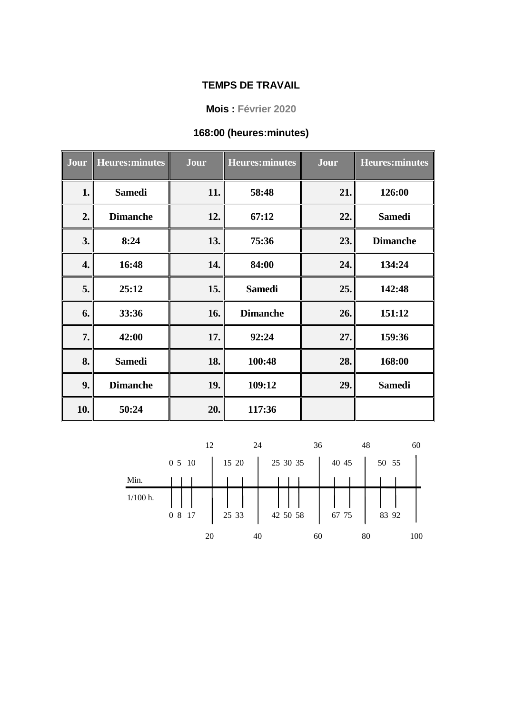**Mois : Février 2020**

#### **168:00 (heures:minutes)**

| Jour | <b>Heures:minutes</b> | Jour | <b>Heures:minutes</b> | <b>Jour</b> | <b>Heures:minutes</b> |
|------|-----------------------|------|-----------------------|-------------|-----------------------|
| 1.   | <b>Samedi</b>         | 11.  | 58:48                 | 21.         | 126:00                |
| 2.   | <b>Dimanche</b>       | 12.  | 67:12                 | 22.         | <b>Samedi</b>         |
| 3.   | 8:24                  | 13.  | 75:36                 | 23.         | <b>Dimanche</b>       |
| 4.   | 16:48                 | 14.  | 84:00                 | 24.         | 134:24                |
| 5.   | 25:12                 | 15.  | <b>Samedi</b>         | 25.         | 142:48                |
| 6.   | 33:36                 | 16.  | <b>Dimanche</b>       | 26.         | 151:12                |
| 7.   | 42:00                 | 17.  | 92:24                 | 27.         | 159:36                |
| 8.   | <b>Samedi</b>         | 18.  | 100:48                | 28.         | 168:00                |
| 9.   | <b>Dimanche</b>       | 19.  | 109:12                | 29.         | <b>Samedi</b>         |
| 10.  | 50:24                 | 20.  | 117:36                |             |                       |

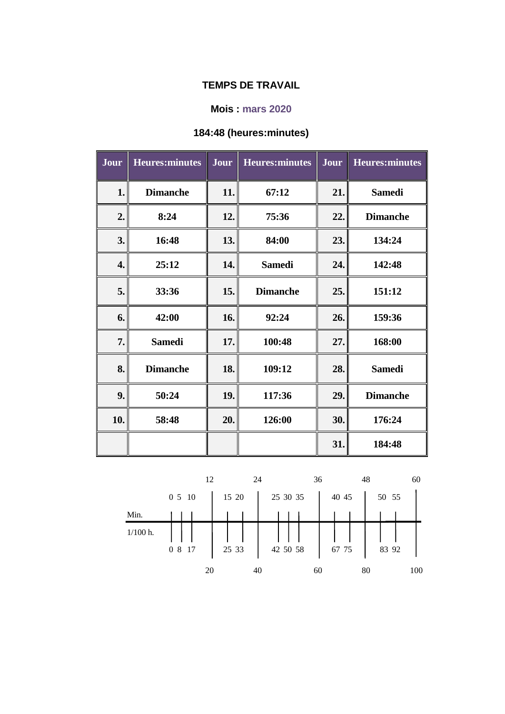#### **Mois : mars 2020**

# **184:48 (heures:minutes)**

| Jour | <b>Heures:minutes</b> | Jour | <b>Heures:minutes</b> | Jour | <b>Heures:minutes</b> |
|------|-----------------------|------|-----------------------|------|-----------------------|
| 1.   | <b>Dimanche</b>       | 11.  | 67:12                 | 21.  | <b>Samedi</b>         |
| 2.   | 8:24                  | 12.  | 75:36                 | 22.  | <b>Dimanche</b>       |
| 3.   | 16:48                 | 13.  | 84:00                 | 23.  | 134:24                |
| 4.   | 25:12                 | 14.  | <b>Samedi</b>         | 24.  | 142:48                |
| 5.   | 33:36                 | 15.  | <b>Dimanche</b>       | 25.  | 151:12                |
| 6.   | 42:00                 | 16.  | 92:24                 | 26.  | 159:36                |
| 7.   | <b>Samedi</b>         | 17.  | 100:48                | 27.  | 168:00                |
| 8.   | <b>Dimanche</b>       | 18.  | 109:12                | 28.  | <b>Samedi</b>         |
| 9.   | 50:24                 | 19.  | 117:36                | 29.  | <b>Dimanche</b>       |
| 10.  | 58:48                 | 20.  | 126:00                | 30.  | 176:24                |
|      |                       |      |                       | 31.  | 184:48                |

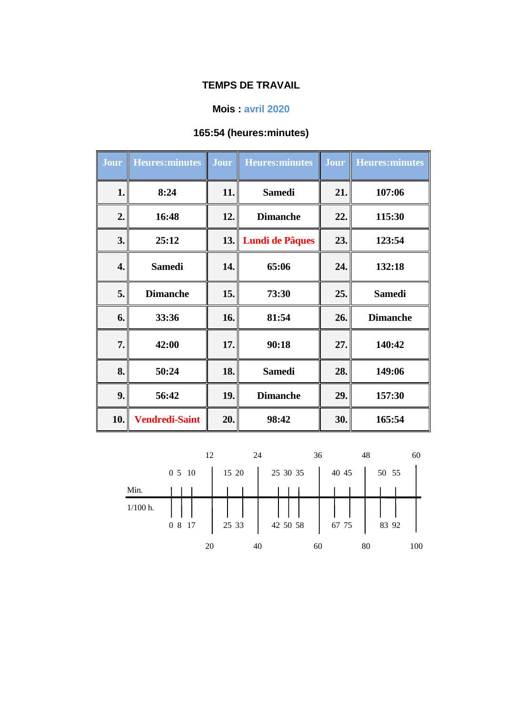# **Mois : avril 2020**

# **165:54 (heures:minutes)**

| Jour | <b>Heures:minutes</b> | <b>Jour</b> | <b>Heures:minutes</b>  | <b>Jour</b> | <b>Heures:minutes</b> |
|------|-----------------------|-------------|------------------------|-------------|-----------------------|
| 1.   | 8:24                  | 11.         | <b>Samedi</b>          | 21.         | 107:06                |
| 2.   | 16:48                 | 12.         | <b>Dimanche</b>        | 22.         | 115:30                |
| 3.   | 25:12                 | 13.         | <b>Lundi de Pâques</b> | 23.         | 123:54                |
| 4.   | <b>Samedi</b>         | 14.         | 65:06                  | 24.         | 132:18                |
| 5.   | <b>Dimanche</b>       | 15.         | 73:30                  | 25.         | <b>Samedi</b>         |
| 6.   | 33:36                 | 16.         | 81:54                  | 26.         | <b>Dimanche</b>       |
| 7.   | 42:00                 | 17.         | 90:18                  | 27.         | 140:42                |
| 8.   | 50:24                 | 18.         | <b>Samedi</b>          | 28.         | 149:06                |
| 9.   | 56:42                 | 19.         | <b>Dimanche</b>        | 29.         | 157:30                |
| 10.  | <b>Vendredi-Saint</b> | 20.         | 98:42                  | 30.         | 165:54                |

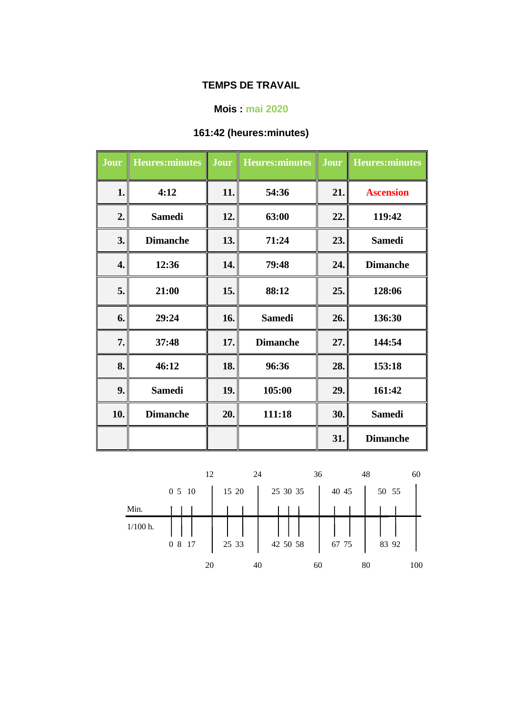#### **Mois : mai 2020**

# **161:42 (heures:minutes)**

| <b>Jour</b> | <b>Heures:minutes</b> | <b>Jour</b> | <b>Heures:minutes</b> | Jour<br>H | <b>Heures:minutes</b> |
|-------------|-----------------------|-------------|-----------------------|-----------|-----------------------|
| 1.          | 4:12                  | 11.         | 54:36                 | 21.       | <b>Ascension</b>      |
| 2.          | <b>Samedi</b>         | 12.         | 63:00                 | 22.       | 119:42                |
| 3.          | <b>Dimanche</b>       | 13.         | 71:24                 | 23.       | <b>Samedi</b>         |
| 4.          | 12:36                 | 14.         | 79:48                 | 24.       | <b>Dimanche</b>       |
| 5.          | 21:00                 | 15.         | 88:12                 | 25.       | 128:06                |
| 6.          | 29:24                 | 16.         | <b>Samedi</b>         | 26.       | 136:30                |
| 7.          | 37:48                 | 17.         | <b>Dimanche</b>       | 27.       | 144:54                |
| 8.          | 46:12                 | 18.         | 96:36                 | 28.       | 153:18                |
| 9.          | <b>Samedi</b>         | 19.         | 105:00                | 29.       | 161:42                |
| 10.         | <b>Dimanche</b>       | 20.         | 111:18                | 30.       | <b>Samedi</b>         |
|             |                       |             |                       | 31.       | <b>Dimanche</b>       |

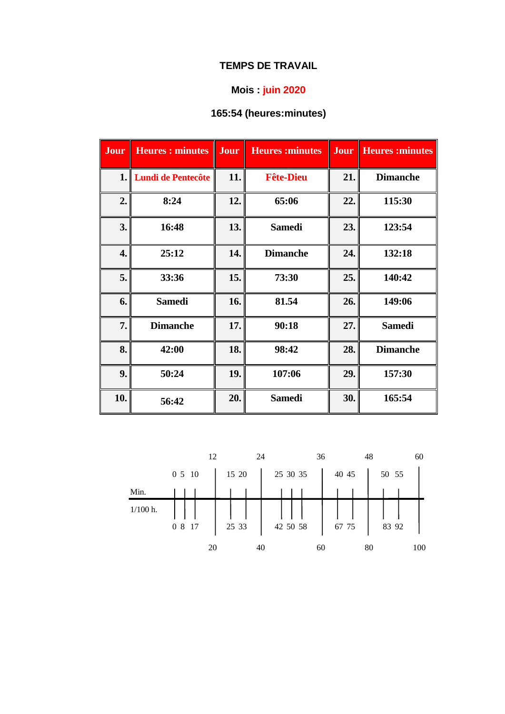# **Mois : juin 2020**

# **165:54 (heures:minutes)**

| Jour | <b>Heures: minutes</b>    | Jour | <b>Heures:minutes</b> | Jour | <b>Heures:minutes</b> |
|------|---------------------------|------|-----------------------|------|-----------------------|
| 1.   | <b>Lundi de Pentecôte</b> | 11.  | <b>Fête-Dieu</b>      | 21.  | <b>Dimanche</b>       |
| 2.   | 8:24                      | 12.  | 65:06                 | 22.  | 115:30                |
| 3.   | 16:48                     | 13.  | <b>Samedi</b>         | 23.  | 123:54                |
| 4.   | 25:12                     | 14.  | <b>Dimanche</b>       | 24.  | 132:18                |
| 5.   | 33:36                     | 15.  | 73:30                 | 25.  | 140:42                |
| 6.   | <b>Samedi</b>             | 16.  | 81.54                 | 26.  | 149:06                |
| 7.   | <b>Dimanche</b>           | 17.  | 90:18                 | 27.  | <b>Samedi</b>         |
| 8.   | 42:00                     | 18.  | 98:42                 | 28.  | <b>Dimanche</b>       |
| 9.   | 50:24                     | 19.  | 107:06                | 29.  | 157:30                |
| 10.  | 56:42                     | 20.  | <b>Samedi</b>         | 30.  | 165:54                |

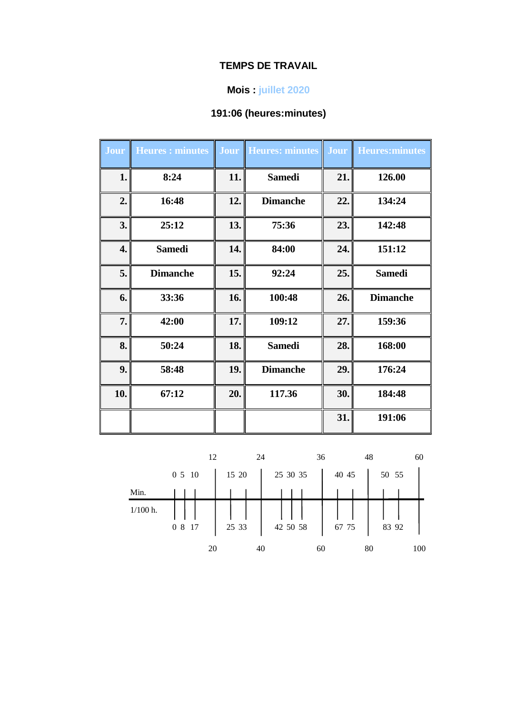#### **Mois : juillet 2020**

# **191:06 (heures:minutes)**

| Jour | <b>Heures: minutes</b> |     | <b>Jour Heures: minutes Jour</b> |     | Heures: minutes |
|------|------------------------|-----|----------------------------------|-----|-----------------|
| 1.   | 8:24                   | 11. | <b>Samedi</b>                    | 21. | 126.00          |
| 2.   | 16:48                  | 12. | <b>Dimanche</b>                  | 22. | 134:24          |
| 3.   | 25:12                  | 13. | 75:36                            | 23. | 142:48          |
| 4.   | <b>Samedi</b>          | 14. | 84:00                            | 24. | 151:12          |
| 5.   | <b>Dimanche</b>        | 15. | 92:24                            | 25. | <b>Samedi</b>   |
| 6.   | 33:36                  | 16. | 100:48                           | 26. | <b>Dimanche</b> |
| 7.   | 42:00                  | 17. | 109:12                           | 27. | 159:36          |
| 8.   | 50:24                  | 18. | <b>Samedi</b>                    | 28. | 168:00          |
| 9.   | 58:48                  | 19. | <b>Dimanche</b>                  | 29. | 176:24          |
| 10.  | 67:12                  | 20. | 117.36                           | 30. | 184:48          |
|      |                        |     |                                  | 31. | 191:06          |

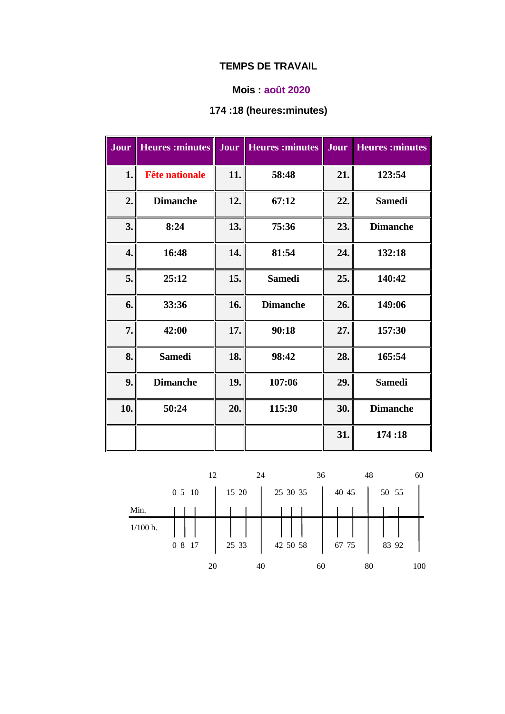### **Mois : août 2020**

# **174 :18 (heures:minutes)**

| Jour | <b>Heures</b> : minutes | <b>Jour</b> | <b>Heures</b> : minutes | Jour | <b>Heures</b> : minutes |
|------|-------------------------|-------------|-------------------------|------|-------------------------|
| 1.   | <b>Fête nationale</b>   | 11.         | 58:48                   | 21.  | 123:54                  |
| 2.   | <b>Dimanche</b>         | 12.         | 67:12                   | 22.  | <b>Samedi</b>           |
| 3.   | 8:24                    | 13.         | 75:36                   | 23.  | <b>Dimanche</b>         |
| 4.   | 16:48                   | 14.         | 81:54                   | 24.  | 132:18                  |
| 5.   | 25:12                   | 15.         | <b>Samedi</b>           | 25.  | 140:42                  |
| 6.   | 33:36                   | 16.         | <b>Dimanche</b>         | 26.  | 149:06                  |
| 7.   | 42:00                   | 17.         | 90:18                   | 27.  | 157:30                  |
| 8.   | <b>Samedi</b>           | 18.         | 98:42                   | 28.  | 165:54                  |
| 9.   | <b>Dimanche</b>         | 19.         | 107:06                  | 29.  | <b>Samedi</b>           |
| 10.  | 50:24                   | 20.         | 115:30                  | 30.  | <b>Dimanche</b>         |
|      |                         |             |                         | 31.  | 174:18                  |

|            |        | 12    | 24       | 36    | 48<br>60  |
|------------|--------|-------|----------|-------|-----------|
|            | 0 5 10 | 15 20 | 25 30 35 | 40 45 | 50 55     |
| Min.       |        |       |          |       |           |
| $1/100$ h. | 0 8 17 | 25 33 | 42 50 58 | 67 75 | 83 92     |
|            | 20     |       | 40       | 60    | 100<br>80 |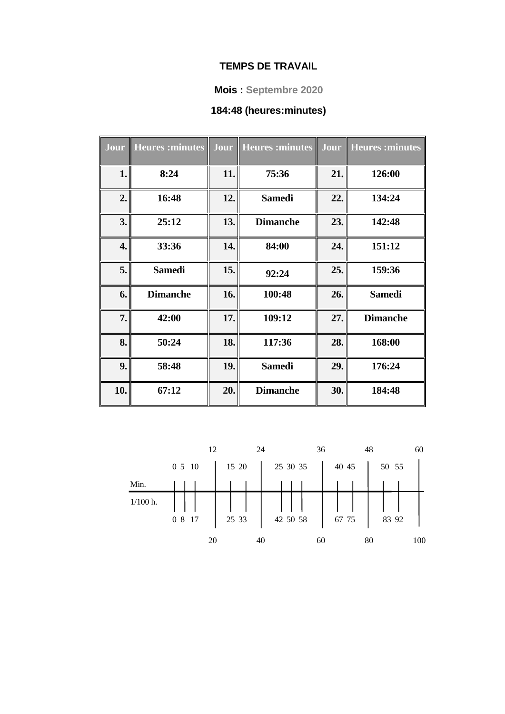#### **Mois : Septembre 2020**

# **184:48 (heures:minutes)**

| Jour | <b>Heures</b> : minutes |     | Jour   Heures : minutes   Jour   Heures : minutes |     |                 |
|------|-------------------------|-----|---------------------------------------------------|-----|-----------------|
| 1.   | 8:24                    | 11. | 75:36                                             | 21. | 126:00          |
| 2.   | 16:48                   | 12. | <b>Samedi</b>                                     | 22. | 134:24          |
| 3.   | 25:12                   | 13. | <b>Dimanche</b>                                   | 23. | 142:48          |
| 4.   | 33:36                   | 14. | 84:00                                             | 24. | 151:12          |
| 5.   | <b>Samedi</b>           | 15. | 92:24                                             | 25. | 159:36          |
| 6.   | <b>Dimanche</b>         | 16. | 100:48                                            | 26. | <b>Samedi</b>   |
| 7.   | 42:00                   | 17. | 109:12                                            | 27. | <b>Dimanche</b> |
| 8.   | 50:24                   | 18. | 117:36                                            | 28. | 168:00          |
| 9.   | 58:48                   | 19. | <b>Samedi</b>                                     | 29. | 176:24          |
| 10.  | 67:12                   | 20. | <b>Dimanche</b>                                   | 30. | 184:48          |

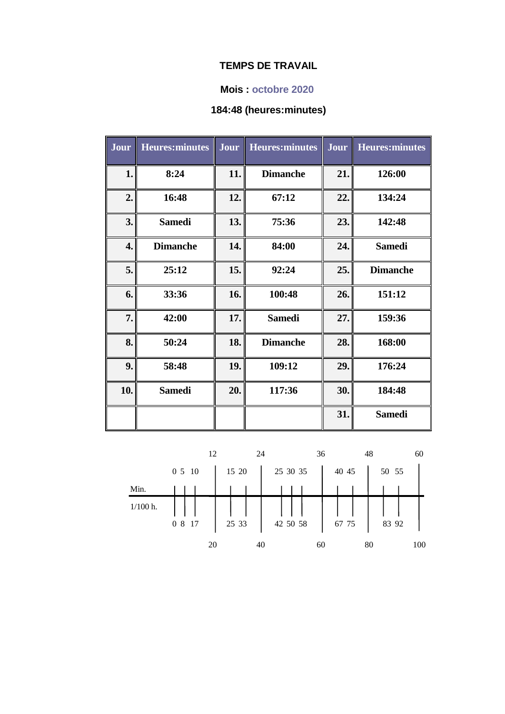#### **Mois : octobre 2020**

## **184:48 (heures:minutes)**

| <b>Jour</b> | <b>Heures:minutes</b> | Jour | <b>Heures:minutes</b> | Jour | <b>Heures:minutes</b> |
|-------------|-----------------------|------|-----------------------|------|-----------------------|
| 1.          | 8:24                  | 11.  | <b>Dimanche</b>       | 21.  | 126:00                |
| 2.          | 16:48                 | 12.  | 67:12                 | 22.  | 134:24                |
| 3.          | <b>Samedi</b>         | 13.  | 75:36                 | 23.  | 142:48                |
| 4.          | <b>Dimanche</b>       | 14.  | 84:00                 | 24.  | <b>Samedi</b>         |
| 5.          | 25:12                 | 15.  | 92:24                 | 25.  | <b>Dimanche</b>       |
| 6.          | 33:36                 | 16.  | 100:48                | 26.  | 151:12                |
| 7.          | 42:00                 | 17.  | <b>Samedi</b>         | 27.  | 159:36                |
| 8.          | 50:24                 | 18.  | <b>Dimanche</b>       | 28.  | 168:00                |
| 9.          | 58:48                 | 19.  | 109:12                | 29.  | 176:24                |
| 10.         | <b>Samedi</b>         | 20.  | 117:36                | 30.  | 184:48                |
|             |                       |      |                       | 31.  | <b>Samedi</b>         |

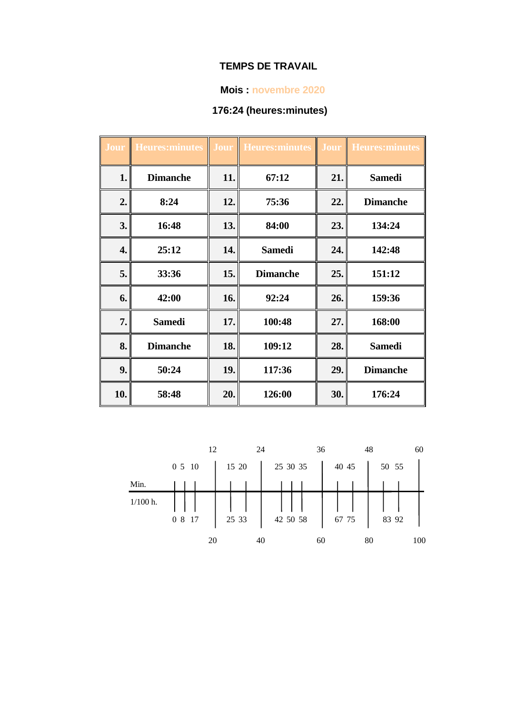#### **Mois : novembre 2020**

# **176:24 (heures:minutes)**

| Jour | <b>Heures:minutes</b> |     | Jour Heures: minutes | Ш   | <b>Jour Heures: minutes</b> |
|------|-----------------------|-----|----------------------|-----|-----------------------------|
| 1.   | <b>Dimanche</b>       | 11. | 67:12                | 21. | <b>Samedi</b>               |
| 2.   | 8:24                  | 12. | 75:36                | 22. | <b>Dimanche</b>             |
| 3.   | 16:48                 | 13. | 84:00                | 23. | 134:24                      |
| 4.   | 25:12                 | 14. | <b>Samedi</b>        | 24. | 142:48                      |
| 5.   | 33:36                 | 15. | <b>Dimanche</b>      | 25. | 151:12                      |
| 6.   | 42:00                 | 16. | 92:24                | 26. | 159:36                      |
| 7.   | <b>Samedi</b>         | 17. | 100:48               | 27. | 168:00                      |
| 8.   | <b>Dimanche</b>       | 18. | 109:12               | 28. | <b>Samedi</b>               |
| 9.   | 50:24                 | 19. | 117:36               | 29. | <b>Dimanche</b>             |
| 10.  | 58:48                 | 20. | 126:00               | 30. | 176:24                      |